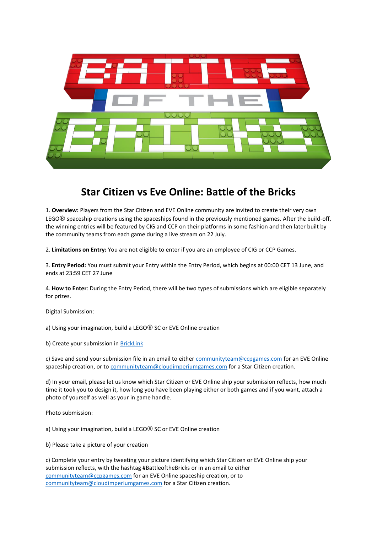

# **Star Citizen vs Eve Online: Battle of the Bricks**

1. **Overview:** Players from the Star Citizen and EVE Online community are invited to create their very own LEGO® spaceship creations using the spaceships found in the previously mentioned games. After the build-off, the winning entries will be featured by CIG and CCP on their platforms in some fashion and then later built by the community teams from each game during a live stream on 22 July.

2. **Limitations on Entry:** You are not eligible to enter if you are an employee of CIG or CCP Games.

3. **Entry Period:** You must submit your Entry within the Entry Period, which begins at 00:00 CET 13 June, and ends at 23:59 CET 27 June

4. **How to Enter**: During the Entry Period, there will be two types of submissions which are eligible separately for prizes.

Digital Submission:

a) Using your imagination, build a LEGO® SC or EVE Online creation

b) Create your submission in **BrickLink** 

c) Save and send your submission file in an email to either [communityteam@ccpgames.com](mailto:communityteam@ccpgames.com) for an EVE Online spaceship creation, or t[o communityteam@cloudimperiumgames.com](mailto:communityteam@cloudimperiumgames.com) for a Star Citizen creation.

d) In your email, please let us know which Star Citizen or EVE Online ship your submission reflects, how much time it took you to design it, how long you have been playing either or both games and if you want, attach a photo of yourself as well as your in game handle.

Photo submission:

a) Using your imagination, build a LEGO® SC or EVE Online creation

b) Please take a picture of your creation

| c) Complete your entry by tweeting your picture identifying which Star Citizen or EVE Online ship your |
|--------------------------------------------------------------------------------------------------------|
| submission reflects, with the hashtag #BattleoftheBricks or in an email to either                      |
| communityteam@ccpgames.com for an EVE Online spaceship creation, or to                                 |
| communityteam@cloudimperiumgames.com for a Star Citizen creation.                                      |